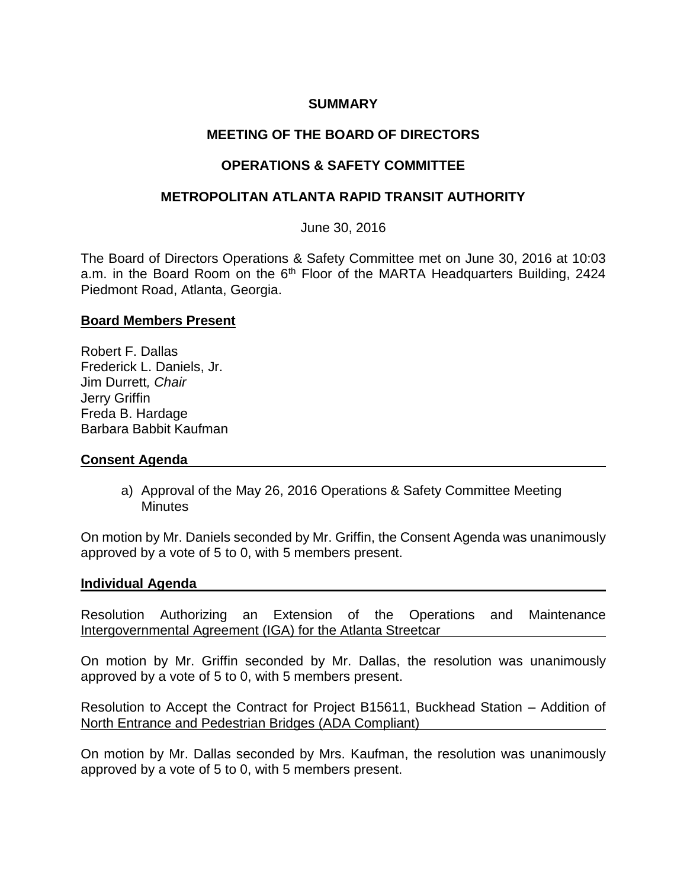# **SUMMARY**

# **MEETING OF THE BOARD OF DIRECTORS**

# **OPERATIONS & SAFETY COMMITTEE**

# **METROPOLITAN ATLANTA RAPID TRANSIT AUTHORITY**

June 30, 2016

The Board of Directors Operations & Safety Committee met on June 30, 2016 at 10:03 a.m. in the Board Room on the 6<sup>th</sup> Floor of the MARTA Headquarters Building, 2424 Piedmont Road, Atlanta, Georgia.

### **Board Members Present**

Robert F. Dallas Frederick L. Daniels, Jr. Jim Durrett*, Chair* Jerry Griffin Freda B. Hardage Barbara Babbit Kaufman

### **Consent Agenda**

a) Approval of the May 26, 2016 Operations & Safety Committee Meeting **Minutes** 

On motion by Mr. Daniels seconded by Mr. Griffin, the Consent Agenda was unanimously approved by a vote of 5 to 0, with 5 members present.

#### **Individual Agenda**

Resolution Authorizing an Extension of the Operations and Maintenance Intergovernmental Agreement (IGA) for the Atlanta Streetcar

On motion by Mr. Griffin seconded by Mr. Dallas, the resolution was unanimously approved by a vote of 5 to 0, with 5 members present.

Resolution to Accept the Contract for Project B15611, Buckhead Station – Addition of North Entrance and Pedestrian Bridges (ADA Compliant)

On motion by Mr. Dallas seconded by Mrs. Kaufman, the resolution was unanimously approved by a vote of 5 to 0, with 5 members present.